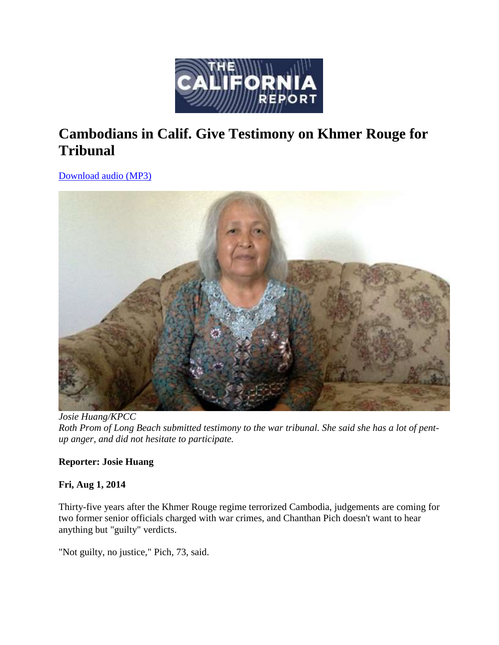

# **Cambodians in Calif. Give Testimony on Khmer Rouge for Tribunal**

[Download audio \(MP3\)](http://www.kqed.org/.stream/anon/radio/tcr/2014/08/2014-08-01c-tcr.mp3) 



*Josie Huang/KPCC Roth Prom of Long Beach submitted testimony to the war tribunal. She said she has a lot of pentup anger, and did not hesitate to participate.*

# **Reporter: Josie Huang**

# **Fri, Aug 1, 2014**

Thirty-five years after the Khmer Rouge regime terrorized Cambodia, judgements are coming for two former senior officials charged with war crimes, and Chanthan Pich doesn't want to hear anything but "guilty" verdicts.

"Not guilty, no justice," Pich, 73, said.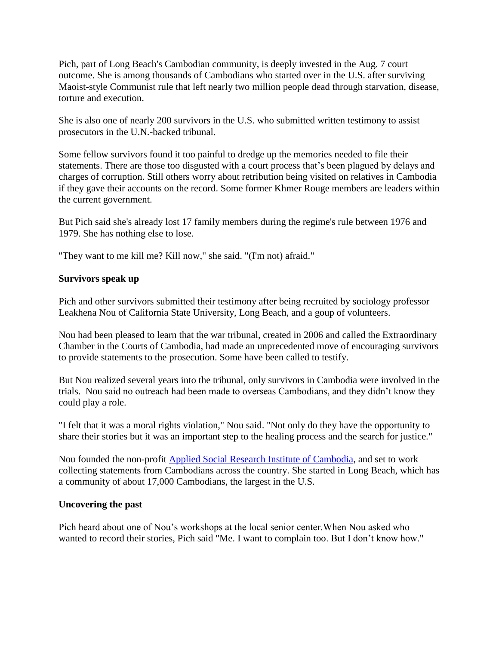Pich, part of Long Beach's Cambodian community, is deeply invested in the Aug. 7 court outcome. She is among thousands of Cambodians who started over in the U.S. after surviving Maoist-style Communist rule that left nearly two million people dead through starvation, disease, torture and execution.

She is also one of nearly 200 survivors in the U.S. who submitted written testimony to assist prosecutors in the U.N.-backed tribunal.

Some fellow survivors found it too painful to dredge up the memories needed to file their statements. There are those too disgusted with a court process that's been plagued by delays and charges of corruption. Still others worry about retribution being visited on relatives in Cambodia if they gave their accounts on the record. Some former Khmer Rouge members are leaders within the current government.

But Pich said she's already lost 17 family members during the regime's rule between 1976 and 1979. She has nothing else to lose.

"They want to me kill me? Kill now," she said. "(I'm not) afraid."

## **Survivors speak up**

Pich and other survivors submitted their testimony after being recruited by sociology professor Leakhena Nou of California State University, Long Beach, and a goup of volunteers.

Nou had been pleased to learn that the war tribunal, created in 2006 and called the Extraordinary Chamber in the Courts of Cambodia, had made an unprecedented move of encouraging survivors to provide statements to the prosecution. Some have been called to testify.

But Nou realized several years into the tribunal, only survivors in Cambodia were involved in the trials. Nou said no outreach had been made to overseas Cambodians, and they didn't know they could play a role.

"I felt that it was a moral rights violation," Nou said. "Not only do they have the opportunity to share their stories but it was an important step to the healing process and the search for justice."

Nou founded the non-profit [Applied Social Research Institute of Cambodia,](http://www.asricjustice.com/) and set to work collecting statements from Cambodians across the country. She started in Long Beach, which has a community of about 17,000 Cambodians, the largest in the U.S.

### **Uncovering the past**

Pich heard about one of Nou's workshops at the local senior center.When Nou asked who wanted to record their stories, Pich said "Me. I want to complain too. But I don't know how."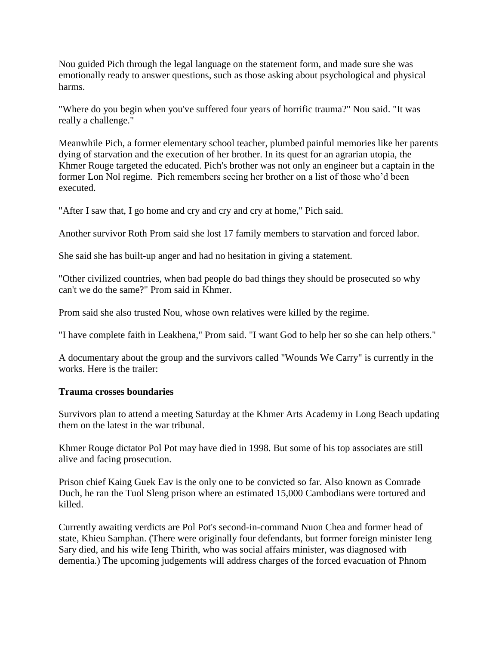Nou guided Pich through the legal language on the statement form, and made sure she was emotionally ready to answer questions, such as those asking about psychological and physical harms.

"Where do you begin when you've suffered four years of horrific trauma?" Nou said. "It was really a challenge."

Meanwhile Pich, a former elementary school teacher, plumbed painful memories like her parents dying of starvation and the execution of her brother. In its quest for an agrarian utopia, the Khmer Rouge targeted the educated. Pich's brother was not only an engineer but a captain in the former Lon Nol regime. Pich remembers seeing her brother on a list of those who'd been executed.

"After I saw that, I go home and cry and cry and cry at home," Pich said.

Another survivor Roth Prom said she lost 17 family members to starvation and forced labor.

She said she has built-up anger and had no hesitation in giving a statement.

"Other civilized countries, when bad people do bad things they should be prosecuted so why can't we do the same?" Prom said in Khmer.

Prom said she also trusted Nou, whose own relatives were killed by the regime.

"I have complete faith in Leakhena," Prom said. "I want God to help her so she can help others."

A documentary about the group and the survivors called "Wounds We Carry" is currently in the works. Here is the trailer:

# **Trauma crosses boundaries**

Survivors plan to attend a meeting Saturday at the Khmer Arts Academy in Long Beach updating them on the latest in the war tribunal.

Khmer Rouge dictator Pol Pot may have died in 1998. But some of his top associates are still alive and facing prosecution.

Prison chief Kaing Guek Eav is the only one to be convicted so far. Also known as Comrade Duch, he ran the Tuol Sleng prison where an estimated 15,000 Cambodians were tortured and killed.

Currently awaiting verdicts are Pol Pot's second-in-command Nuon Chea and former head of state, Khieu Samphan. (There were originally four defendants, but former foreign minister Ieng Sary died, and his wife Ieng Thirith, who was social affairs minister, was diagnosed with dementia.) The upcoming judgements will address charges of the forced evacuation of Phnom